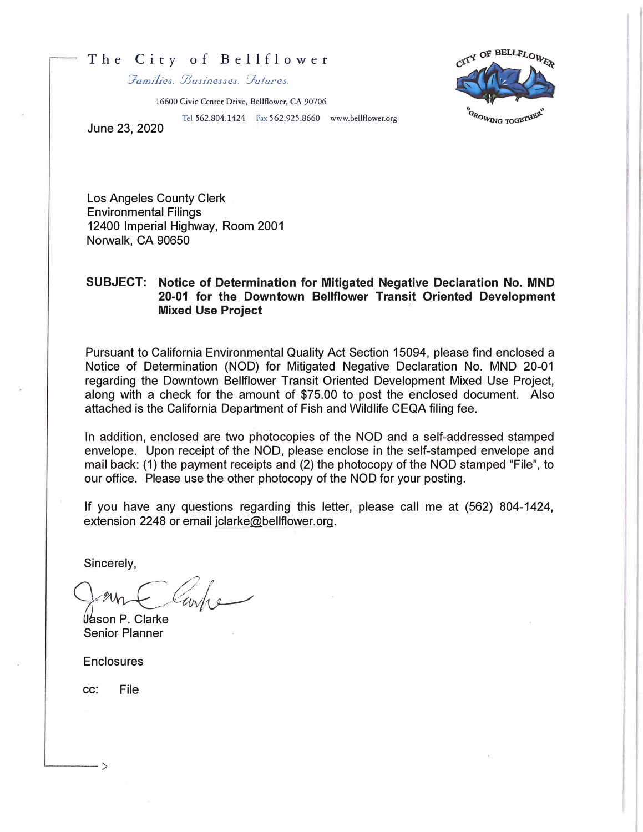## The City of Bellflower

 $\mathcal{F}$ amilies.  $\mathcal{B}$ usinesses.  $\mathcal{F}$ utures.

16600 Civic Center Drive, Bellflower, CA 90706

Tel 562.804.1424 Fax 562.925.8660 www.bellflower.org

CITY OF BELLFLOWER OROWING TOGETHEN

June 23, 2020

Los Angeles County Clerk Environmental Filings 12400 Imperial Highway, Room 2001 Norwalk, CA 90650

## **SUBJECT: Notice of Determination for Mitigated Negative Declaration No. MND 20-01 for the Downtown Bellflower Transit Oriented Development Mixed Use Project**

Pursuant to California Environmental Quality Act Section 15094, please find enclosed a Notice of Determination (NOD) for Mitigated Negative Declaration No. MND 20-01 regarding the Downtown Bellflower Transit Oriented Development Mixed Use Project, along with a check for the amount of \$75.00 to post the enclosed document. Also attached is the California Department of Fish and Wildlife CEQA filing fee.

In addition, enclosed are two photocopies of the NOD and a self-addressed stamped envelope. Upon receipt of the NOD, please enclose in the self-stamped envelope and mail back: (1) the payment receipts and (2) the photocopy of the NOD stamped "File", to our office. Please use the other photocopy of the NOD for your posting.

If you have any questions regarding this letter, please call me at (562) 804-1424, extension 2248 or email jclarke@bellflower.org.

Sincerely,

 $\sim$ 

l*l*ason P. Clarke Senior Planner

**Enclosures** 

cc: File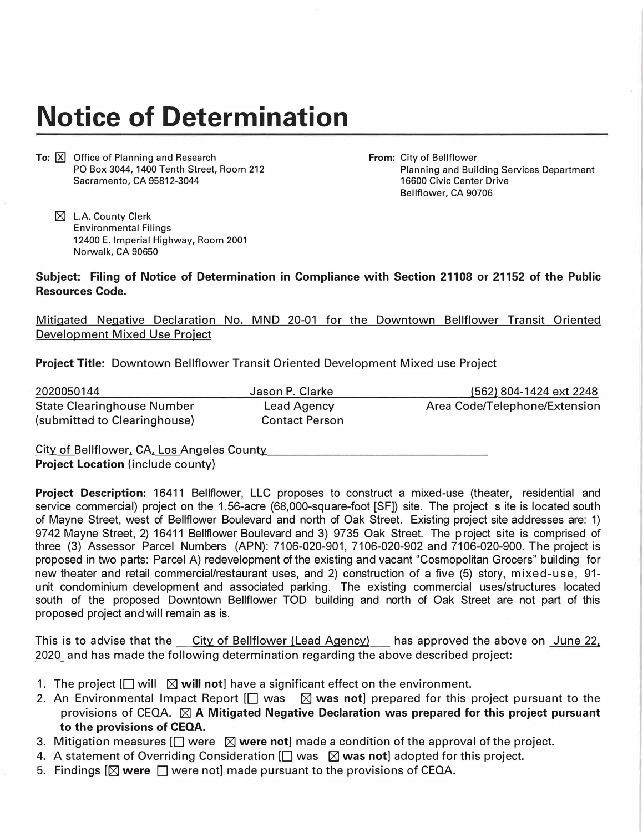## **Notice of Determination**

**To: X** Office of Planning and Research PO Box 3044, 1400 Tenth Street, Room 212 Sacramento, CA 95812-3044

**From:** City of Bellflower Planning and Building Services Department 16600 Civic Center Drive Bellflower, CA 90706

 $\boxtimes$  L.A. County Clerk Environmental Filings 12400 E. Imperial Highway, Room 2001 Norwalk, CA 90650

**Subject: Filing of Notice of Determination in Compliance with Section 21108 or 21152 of the Public Resources Code.** 

Mitigated Negative Declaration No. MND 20-01 for the Downtown Bellflower Transit Oriented Development Mixed Use Project

**Project Title:** Downtown Bellflower Transit Oriented Development Mixed use Project

| 2020050144                        | Jason P. Clarke       | (562) 804-1424 ext 2248       |
|-----------------------------------|-----------------------|-------------------------------|
| <b>State Clearinghouse Number</b> | Lead Agency           | Area Code/Telephone/Extension |
| (submitted to Clearinghouse)      | <b>Contact Person</b> |                               |

City of Bellflower. CA. Los Angeles County

**Project Location** (include county)

**Project Description:** 16411 Bellflower, LLC proposes to construct a mixed-use (theater, residential and service commercial) project on the 1.56-acre (68,000-square-foot [SF]) site. The project s ite is located south of Mayne Street, west of Bellflower Boulevard and north of Oak Street. Existing project site addresses are: 1) 9742 Mayne Street, 2) 16411 Bellflower Boulevard and 3) 9735 Oak Street. The project site is comprised of three (3) Assessor Parcel Numbers (APN): 7106-020-901, 7106-020-902 and 7106-020-900. The project is proposed in two parts: Parcel A) redevelopment of the existing and vacant "Cosmopolitan Grocers" building for new theater and retail commercial/restaurant uses, and 2) construction of a five (5) story, mixed-use, 91 unit condominium development and associated parking. The existing commercial uses/structures located south of the proposed Downtown Bellflower TOD building and north of Oak Street are not part of this proposed project and will remain as is.

This is to advise that the City of Bellflower (Lead Agency) has approved the above on June 22. 2020 and has made the following determination regarding the above described project:

- 1. The project  $\Box$  will  $\Box$  will not] have a significant effect on the environment.
- 2. An Environmental Impact Report [□ was △ was not] prepared for this project pursuant to the provisions of CEQA.  $\boxtimes$  A Mitigated Negative Declaration was prepared for this project pursuant **to the provisions of CEOA.**
- 3. Mitigation measures  $\Box$  were  $\boxtimes$  were not made a condition of the approval of the project.
- 4. A statement of Overriding Consideration [□ was  $\boxtimes$  was not] adopted for this project.
- 5. Findings  $[\nabla]$  were  $[\nabla]$  were not] made pursuant to the provisions of CEQA.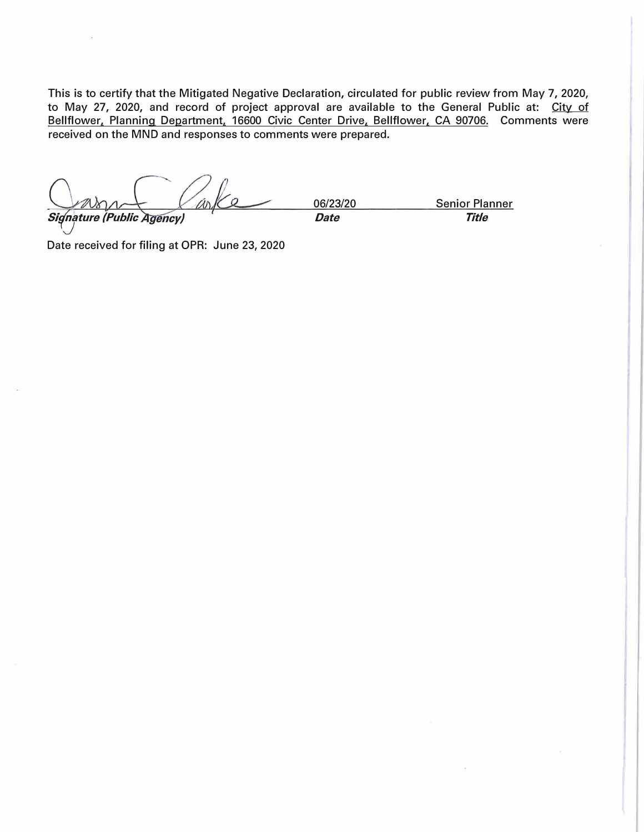This is to certify that the Mitigated Negative Declaration, circulated for public review from May 7, 2020, to May 27, 2020, and record of project approval are available to the General Public at: City of Bellflower, Planning Department, 16600 Civic Center Drive, Bellflower, CA 90706. Comments were received on the MND and responses to comments were prepared.

06/23/20 Senior Planner *Signature (Public Agency)*  $\qquad \qquad$  Date **Date Title** 

Date received for filing at OPR: June 23, 2020